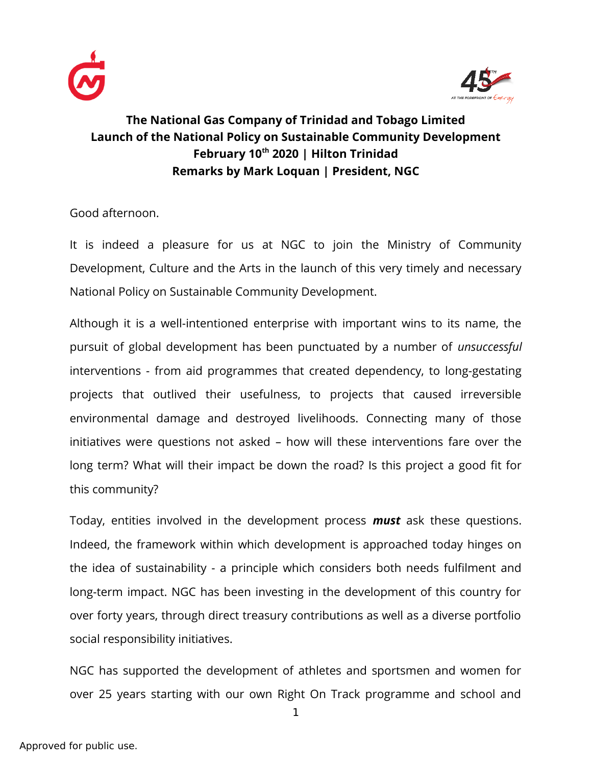



## **The National Gas Company of Trinidad and Tobago Limited Launch of the National Policy on Sustainable Community Development February 10th 2020 | Hilton Trinidad Remarks by Mark Loquan | President, NGC**

Good afternoon.

It is indeed a pleasure for us at NGC to join the Ministry of Community Development, Culture and the Arts in the launch of this very timely and necessary National Policy on Sustainable Community Development.

Although it is a well-intentioned enterprise with important wins to its name, the pursuit of global development has been punctuated by a number of *unsuccessful* interventions - from aid programmes that created dependency, to long-gestating projects that outlived their usefulness, to projects that caused irreversible environmental damage and destroyed livelihoods. Connecting many of those initiatives were questions not asked – how will these interventions fare over the long term? What will their impact be down the road? Is this project a good fit for this community?

Today, entities involved in the development process *must* ask these questions. Indeed, the framework within which development is approached today hinges on the idea of sustainability - a principle which considers both needs fulfilment and long-term impact. NGC has been investing in the development of this country for over forty years, through direct treasury contributions as well as a diverse portfolio social responsibility initiatives.

NGC has supported the development of athletes and sportsmen and women for over 25 years starting with our own Right On Track programme and school and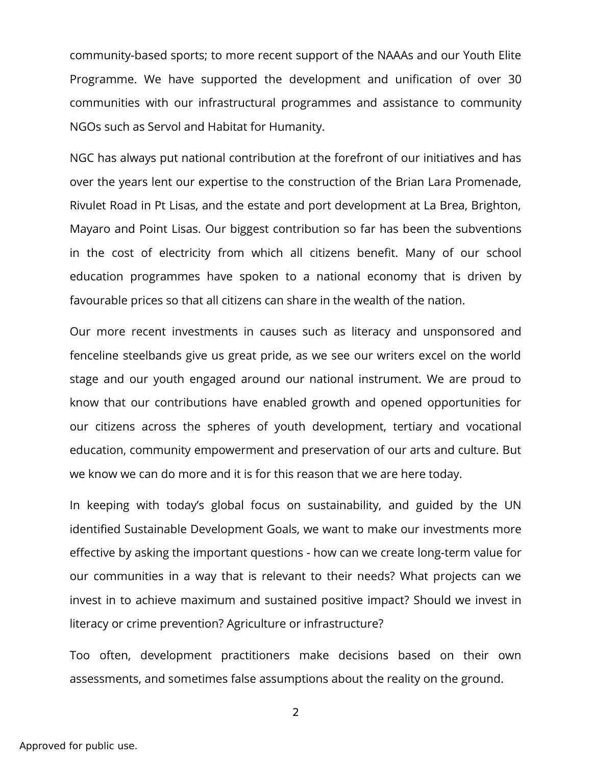community-based sports; to more recent support of the NAAAs and our Youth Elite Programme. We have supported the development and unification of over 30 communities with our infrastructural programmes and assistance to community NGOs such as Servol and Habitat for Humanity.

NGC has always put national contribution at the forefront of our initiatives and has over the years lent our expertise to the construction of the Brian Lara Promenade, Rivulet Road in Pt Lisas, and the estate and port development at La Brea, Brighton, Mayaro and Point Lisas. Our biggest contribution so far has been the subventions in the cost of electricity from which all citizens benefit. Many of our school education programmes have spoken to a national economy that is driven by favourable prices so that all citizens can share in the wealth of the nation.

Our more recent investments in causes such as literacy and unsponsored and fenceline steelbands give us great pride, as we see our writers excel on the world stage and our youth engaged around our national instrument. We are proud to know that our contributions have enabled growth and opened opportunities for our citizens across the spheres of youth development, tertiary and vocational education, community empowerment and preservation of our arts and culture. But we know we can do more and it is for this reason that we are here today.

In keeping with today's global focus on sustainability, and guided by the UN identified Sustainable Development Goals, we want to make our investments more effective by asking the important questions - how can we create long-term value for our communities in a way that is relevant to their needs? What projects can we invest in to achieve maximum and sustained positive impact? Should we invest in literacy or crime prevention? Agriculture or infrastructure?

Too often, development practitioners make decisions based on their own assessments, and sometimes false assumptions about the reality on the ground.

2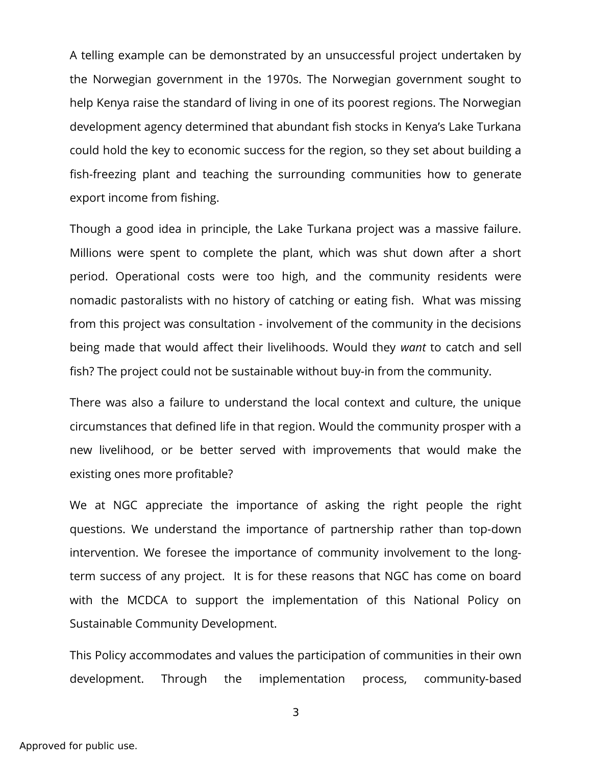A telling example can be demonstrated by an unsuccessful project undertaken by the Norwegian government in the 1970s. The Norwegian government sought to help Kenya raise the standard of living in one of its poorest regions. The Norwegian development agency determined that abundant fish stocks in Kenya's Lake Turkana could hold the key to economic success for the region, so they set about building a fish-freezing plant and teaching the surrounding communities how to generate export income from fishing.

Though a good idea in principle, the Lake Turkana project was a massive failure. Millions were spent to complete the plant, which was shut down after a short period. Operational costs were too high, and the community residents were nomadic pastoralists with no history of catching or eating fish. What was missing from this project was consultation - involvement of the community in the decisions being made that would affect their livelihoods. Would they *want* to catch and sell fish? The project could not be sustainable without buy-in from the community.

There was also a failure to understand the local context and culture, the unique circumstances that defined life in that region. Would the community prosper with a new livelihood, or be better served with improvements that would make the existing ones more profitable?

We at NGC appreciate the importance of asking the right people the right questions. We understand the importance of partnership rather than top-down intervention. We foresee the importance of community involvement to the longterm success of any project. It is for these reasons that NGC has come on board with the MCDCA to support the implementation of this National Policy on Sustainable Community Development.

This Policy accommodates and values the participation of communities in their own development. Through the implementation process, community-based

3